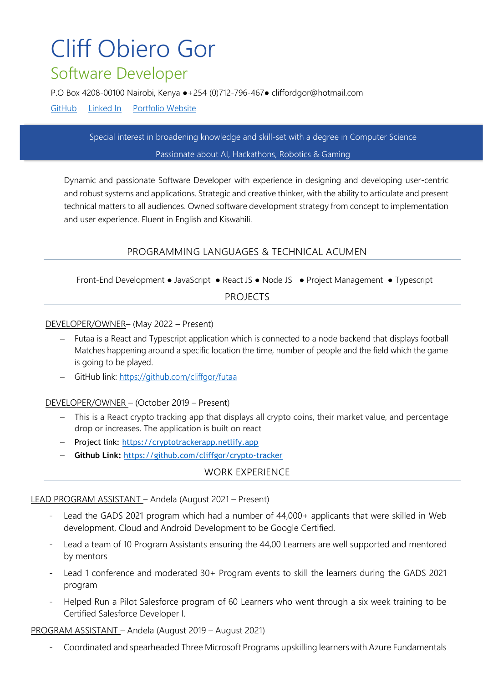# Cliff Obiero Gor Software Developer

P.O Box 4208-[00100 Nairobi, Kenya ●+254](mailto:New%20York%2C%20NY%20â—%20reed.whitman@email.com) (0)712-796-467● cliffordgor@hotmail.com

[GitHub](https://github.com/cliffgor) [Linked In](https://www.linkedin.com/in/cliff-gor/) [Portfolio Website](https://www.cliffgor.com/)

Special interest in broadening knowledge and skill-set with a degree in Computer Science Passionate about AI, Hackathons, Robotics & Gaming

Dynamic and passionate Software Developer with experience in designing and developing user-centric and robust systems and applications. Strategic and creative thinker, with the ability to articulate and present technical matters to all audiences. Owned software development strategy from concept to implementation and user experience. Fluent in English and Kiswahili.

## PROGRAMMING LANGUAGES & TECHNICAL ACUMEN

Front-End Development ● JavaScript ● React JS ● Node JS ● Project Management ● Typescript PROJECTS

#### DEVELOPER/OWNER– (May 2022 – Present)

- Futaa is a React and Typescript application which is connected to a node backend that displays football Matches happening around a specific location the time, number of people and the field which the game is going to be played.
- − GitHub link: <https://github.com/cliffgor/futaa>

#### DEVELOPER/OWNER – (October 2019 – Present)

ALUE

- − This is a React crypto tracking app that displays all crypto coins, their market value, and percentage drop or increases. The application is built on react
- − Project link: [https://cryptotrackerapp.netlify.app](https://cryptotrackerapp.netlify.app/)
- − **Github Link:** <https://github.com/cliffgor/crypto-tracker>

#### WORK EXPERIENCE

#### LEAD PROGRAM ASSISTANT – Andela (August 2021 – Present)

- Lead the GADS 2021 program which had a number of 44,000+ applicants that were skilled in Web development, Cloud and Android Development to be Google Certified.
- Lead a team of 10 Program Assistants ensuring the 44,00 Learners are well supported and mentored by mentors
- Lead 1 conference and moderated 30+ Program events to skill the learners during the GADS 2021 program
- Helped Run a Pilot Salesforce program of 60 Learners who went through a six week training to be Certified Salesforce Developer I.

#### PROGRAM ASSISTANT – Andela (August 2019 – August 2021)

- Coordinated and spearheaded Three Microsoft Programs upskilling learners with Azure Fundamentals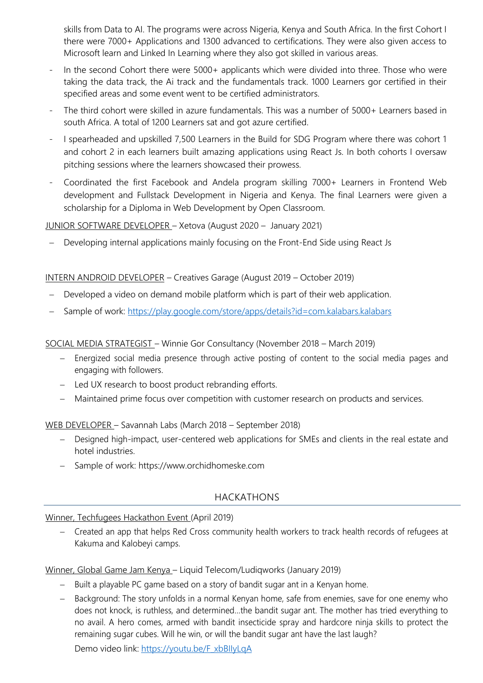skills from Data to AI. The programs were across Nigeria, Kenya and South Africa. In the first Cohort I there were 7000+ Applications and 1300 advanced to certifications. They were also given access to Microsoft learn and Linked In Learning where they also got skilled in various areas.

- In the second Cohort there were 5000+ applicants which were divided into three. Those who were taking the data track, the Ai track and the fundamentals track. 1000 Learners gor certified in their specified areas and some event went to be certified administrators.
- The third cohort were skilled in azure fundamentals. This was a number of 5000+ Learners based in south Africa. A total of 1200 Learners sat and got azure certified.
- I spearheaded and upskilled 7,500 Learners in the Build for SDG Program where there was cohort 1 and cohort 2 in each learners built amazing applications using React Js. In both cohorts I oversaw pitching sessions where the learners showcased their prowess.
- Coordinated the first Facebook and Andela program skilling 7000+ Learners in Frontend Web development and Fullstack Development in Nigeria and Kenya. The final Learners were given a scholarship for a Diploma in Web Development by Open Classroom.

JUNIOR SOFTWARE DEVELOPER – Xetova (August 2020 – January 2021)

Developing internal applications mainly focusing on the Front-End Side using React Js

### INTERN ANDROID DEVELOPER – Creatives Garage (August 2019 – October 2019)

- Developed a video on demand mobile platform which is part of their web application.
- − Sample of work:<https://play.google.com/store/apps/details?id=com.kalabars.kalabars>

SOCIAL MEDIA STRATEGIST – Winnie Gor Consultancy (November 2018 – March 2019)

- − Energized social media presence through active posting of content to the social media pages and engaging with followers.
- − Led UX research to boost product rebranding efforts.
- − Maintained prime focus over competition with customer research on products and services.

WEB DEVELOPER – Savannah Labs (March 2018 – September 2018)

- − Designed high-impact, user-centered web applications for SMEs and clients in the real estate and hotel industries.
- − Sample of work: https://www.orchidhomeske.com

# HACKATHONS

#### Winner, Techfugees Hackathon Event (April 2019)

− Created an app that helps Red Cross community health workers to track health records of refugees at Kakuma and Kalobeyi camps.

Winner, Global Game Jam Kenya – Liquid Telecom/Ludiqworks (January 2019)

- − Built a playable PC game based on a story of bandit sugar ant in a Kenyan home.
- − Background: The story unfolds in a normal Kenyan home, safe from enemies, save for one enemy who does not knock, is ruthless, and determined…the bandit sugar ant. The mother has tried everything to no avail. A hero comes, armed with bandit insecticide spray and hardcore ninja skills to protect the remaining sugar cubes. Will he win, or will the bandit sugar ant have the last laugh?

Demo video link: [https://youtu.be/F\\_xbBIIyLqA](https://youtu.be/F_xbBIIyLqA)